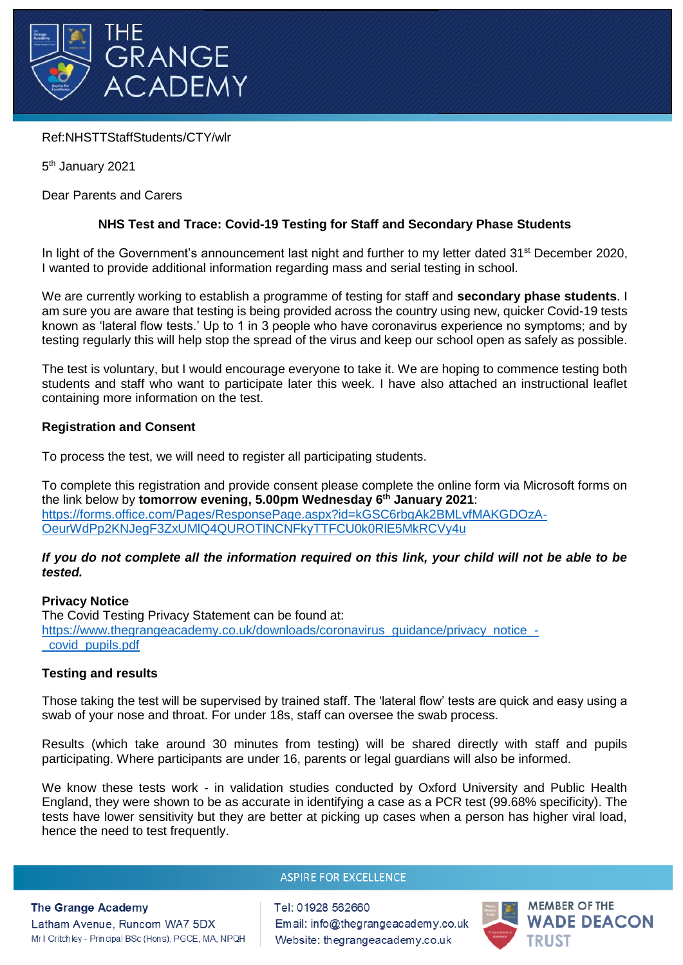

# Ref:NHSTTStaffStudents/CTY/wlr

5<sup>th</sup> January 2021

Dear Parents and Carers

# **NHS Test and Trace: Covid-19 Testing for Staff and Secondary Phase Students**

In light of the Government's announcement last night and further to my letter dated  $31<sup>st</sup>$  December 2020, I wanted to provide additional information regarding mass and serial testing in school.

We are currently working to establish a programme of testing for staff and **secondary phase students**. I am sure you are aware that testing is being provided across the country using new, quicker Covid-19 tests known as 'lateral flow tests.' Up to 1 in 3 people who have coronavirus experience no symptoms; and by testing regularly this will help stop the spread of the virus and keep our school open as safely as possible.

The test is voluntary, but I would encourage everyone to take it. We are hoping to commence testing both students and staff who want to participate later this week. I have also attached an instructional leaflet containing more information on the test.

## **Registration and Consent**

To process the test, we will need to register all participating students.

To complete this registration and provide consent please complete the online form via Microsoft forms on the link below by **tomorrow evening, 5.00pm Wednesday 6 th January 2021**: [https://forms.office.com/Pages/ResponsePage.aspx?id=kGSC6rbgAk2BMLvfMAKGDOzA-](https://forms.office.com/Pages/ResponsePage.aspx?id=kGSC6rbgAk2BMLvfMAKGDOzA-OeurWdPp2KNJegF3ZxUMlQ4QUROTlNCNFkyTTFCU0k0RlE5MkRCVy4u)[OeurWdPp2KNJegF3ZxUMlQ4QUROTlNCNFkyTTFCU0k0RlE5MkRCVy4u](https://forms.office.com/Pages/ResponsePage.aspx?id=kGSC6rbgAk2BMLvfMAKGDOzA-OeurWdPp2KNJegF3ZxUMlQ4QUROTlNCNFkyTTFCU0k0RlE5MkRCVy4u)

## *If you do not complete all the information required on this link, your child will not be able to be tested.*

## **Privacy Notice**

The Covid Testing Privacy Statement can be found at: [https://www.thegrangeacademy.co.uk/downloads/coronavirus\\_guidance/privacy\\_notice\\_-](https://www.thegrangeacademy.co.uk/downloads/coronavirus_guidance/privacy_notice_-_covid_pupils.pdf) [\\_covid\\_pupils.pdf](https://www.thegrangeacademy.co.uk/downloads/coronavirus_guidance/privacy_notice_-_covid_pupils.pdf)

## **Testing and results**

Those taking the test will be supervised by trained staff. The 'lateral flow' tests are quick and easy using a swab of your nose and throat. For under 18s, staff can oversee the swab process.

Results (which take around 30 minutes from testing) will be shared directly with staff and pupils participating. Where participants are under 16, parents or legal guardians will also be informed.

We know these tests work - in validation studies conducted by Oxford University and Public Health England, they were shown to be as accurate in identifying a case as a PCR test (99.68% specificity). The tests have lower sensitivity but they are better at picking up cases when a person has higher viral load, hence the need to test frequently.

#### **ASPIRE FOR EXCELLENCE**

#### **The Grange Academy**

Latham Avenue, Runcom WA7 5DX Mr I Critchley - Principal BSc (Hons), PGCE, MA, NPQH Tel: 01928 562660 Email: info@thegrangeacademy.co.uk Website: thegrangeacademy.co.uk